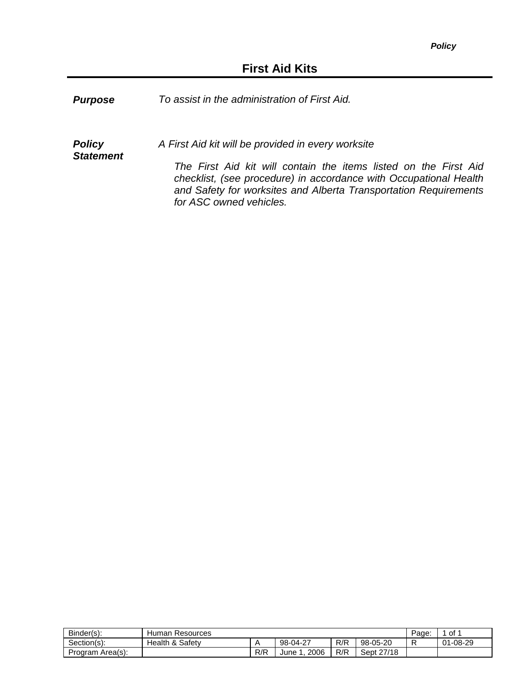## **First Aid Kits**

*Purpose To assist in the administration of First Aid.*

*Policy Statement* *A First Aid kit will be provided in every worksite*

*The First Aid kit will contain the items listed on the First Aid checklist, (see procedure) in accordance with Occupational Health and Safety for worksites and Alberta Transportation Requirements for ASC owned vehicles.*

| Binder(s):       | Human Resources       |     |                       |     |            | Page. | of 1          |
|------------------|-----------------------|-----|-----------------------|-----|------------|-------|---------------|
| Section(s):      | Safety<br>Health<br>& |     | ົດສ<br>98-<br>$-04-2$ | R/R | 98-05-20   |       | 1-08-29<br>01 |
| Program Area(s): |                       | R/R | 2006<br>June          | R/R | Sept 27/18 |       |               |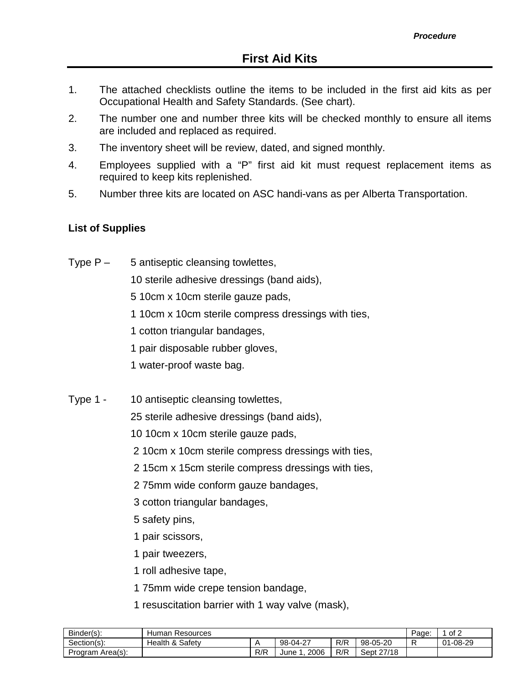- 1. The attached checklists outline the items to be included in the first aid kits as per Occupational Health and Safety Standards. (See chart).
- 2. The number one and number three kits will be checked monthly to ensure all items are included and replaced as required.
- 3. The inventory sheet will be review, dated, and signed monthly.
- 4. Employees supplied with a "P" first aid kit must request replacement items as required to keep kits replenished.
- 5. Number three kits are located on ASC handi-vans as per Alberta Transportation.

## **List of Supplies**

Type  $P - 5$  antiseptic cleansing towlettes,

10 sterile adhesive dressings (band aids),

- 5 10cm x 10cm sterile gauze pads,
- 1 10cm x 10cm sterile compress dressings with ties,
- 1 cotton triangular bandages,
- 1 pair disposable rubber gloves,
- 1 water-proof waste bag.
- Type 1 10 antiseptic cleansing towlettes,

25 sterile adhesive dressings (band aids),

10 10cm x 10cm sterile gauze pads,

- 2 10cm x 10cm sterile compress dressings with ties,
- 2 15cm x 15cm sterile compress dressings with ties,
- 2 75mm wide conform gauze bandages,
- 3 cotton triangular bandages,
- 5 safety pins,
- 1 pair scissors,
- 1 pair tweezers,
- 1 roll adhesive tape,
- 1 75mm wide crepe tension bandage,
- 1 resuscitation barrier with 1 way valve (mask),

| Binder(s):       | Human<br>Resources         |     |              |     |            |  | of 2     |
|------------------|----------------------------|-----|--------------|-----|------------|--|----------|
| Section(s):      | <b>Health &amp; Safety</b> |     | 98-04-27     | R/R | 98-05-20   |  | 01-08-29 |
| Program Area(s): |                            | R/R | 2006<br>June | R/R | Sept 27/18 |  |          |